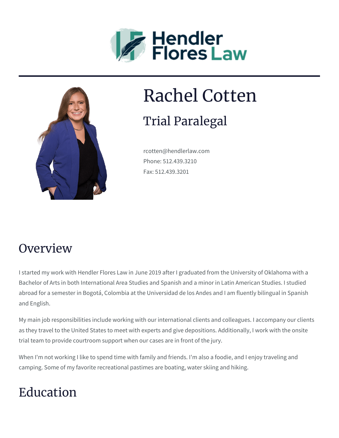



# Rachel Cotten

## Trial Paralegal

rcotten@hendlerlaw.com Phone: 512.439.3210 Fax: 512.439.3201

#### **Overview**

I started my work with Hendler Flores Law in June 2019 after I graduated from the University of Oklahoma with a Bachelor of Arts in both International Area Studies and Spanish and a minor in Latin American Studies. I studied abroad for a semester in Bogotá, Colombia at the Universidad de los Andes and I am fluently bilingual in Spanish and English.

My main job responsibilities include working with our international clients and colleagues. I accompany our clients as they travel to the United States to meet with experts and give depositions. Additionally, I work with the onsite trial team to provide courtroom support when our cases are in front of the jury.

When I'm not working I like to spend time with family and friends. I'm also a foodie, and I enjoy traveling and camping. Some of my favorite recreational pastimes are boating, water skiing and hiking.

## Education